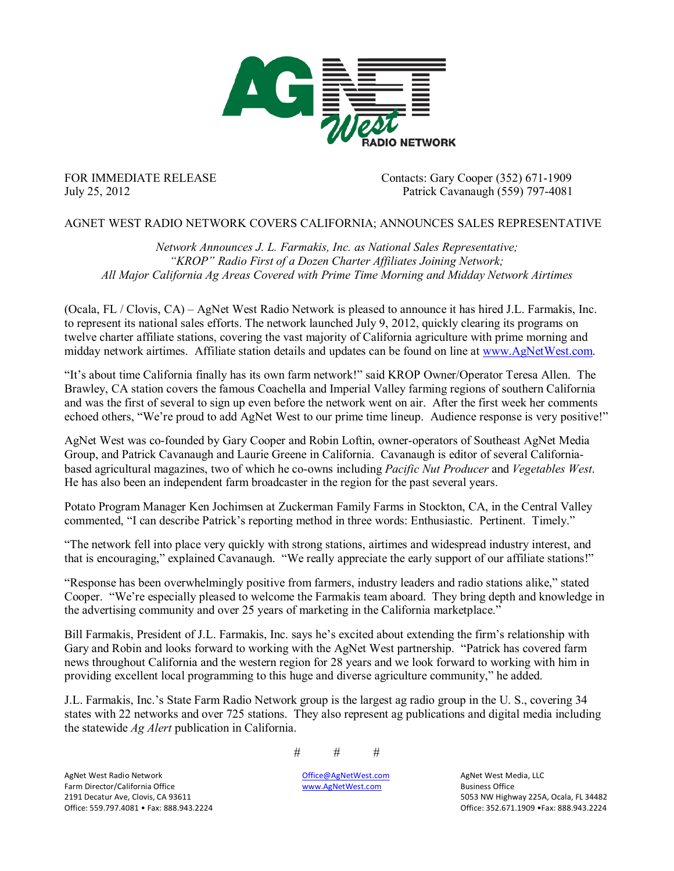

FOR IMMEDIATE RELEASE Contacts: Gary Cooper (352) 671-1909 July 25, 2012 Patrick Cavanaugh (559) 797-4081

## AGNET WEST RADIO NETWORK COVERS CALIFORNIA; ANNOUNCES SALES REPRESENTATIVE

*Network Announces J. L. Farmakis, Inc. as National Sales Representative; "KROP" Radio First of a Dozen Charter Affiliates Joining Network; All Major California Ag Areas Covered with Prime Time Morning and Midday Network Airtimes*

(Ocala, FL / Clovis, CA) – AgNet West Radio Network is pleased to announce it has hired J.L. Farmakis, Inc. to represent its national sales efforts. The network launched July 9, 2012, quickly clearing its programs on twelve charter affiliate stations, covering the vast majority of California agriculture with prime morning and midday network airtimes. Affiliate station details and updates can be found on line at [www.AgNetWest.com.](http://www.agnetwest.com/)

"It's about time California finally has its own farm network!" said KROP Owner/Operator Teresa Allen. The Brawley, CA station covers the famous Coachella and Imperial Valley farming regions of southern California and was the first of several to sign up even before the network went on air. After the first week her comments echoed others, "We're proud to add AgNet West to our prime time lineup. Audience response is very positive!"

AgNet West was co-founded by Gary Cooper and Robin Loftin, owner-operators of Southeast AgNet Media Group, and Patrick Cavanaugh and Laurie Greene in California. Cavanaugh is editor of several Californiabased agricultural magazines, two of which he co-owns including *Pacific Nut Producer* and *Vegetables West*. He has also been an independent farm broadcaster in the region for the past several years.

Potato Program Manager Ken Jochimsen at Zuckerman Family Farms in Stockton, CA, in the Central Valley commented, "I can describe Patrick's reporting method in three words: Enthusiastic. Pertinent. Timely."

"The network fell into place very quickly with strong stations, airtimes and widespread industry interest, and that is encouraging," explained Cavanaugh. "We really appreciate the early support of our affiliate stations!"

"Response has been overwhelmingly positive from farmers, industry leaders and radio stations alike," stated Cooper. "We're especially pleased to welcome the Farmakis team aboard. They bring depth and knowledge in the advertising community and over 25 years of marketing in the California marketplace."

Bill Farmakis, President of J.L. Farmakis, Inc. says he's excited about extending the firm's relationship with Gary and Robin and looks forward to working with the AgNet West partnership. "Patrick has covered farm news throughout California and the western region for 28 years and we look forward to working with him in providing excellent local programming to this huge and diverse agriculture community," he added.

J.L. Farmakis, Inc.'s State Farm Radio Network group is the largest ag radio group in the U. S., covering 34 states with 22 networks and over 725 stations. They also represent ag publications and digital media including the statewide *Ag Alert* publication in California.

# # #

5053 NW Highway 225A, Ocala, FL 34482 Office: 559.797.4081 • Fax: 888.943.2224 **The Contract Contract Contract Contract Contract Contract Contract Contract Contract Contract Contract Contract Contract Contract Contract Contract Contract Contract Contract Cont** 

AgNet!West!Radio!Network !!!!!!!! [Office@AgNetWest.com](mailto:Office@AgNetWest.com) AgNet!West!Media,!LLC Farm Director/California Office **1998** 2191 Movement Controller [www.AgNetWest.com](http://www.agnetwest.com/) Business Office 1998 2191 Decatur Ave, Clovis, CA 93611